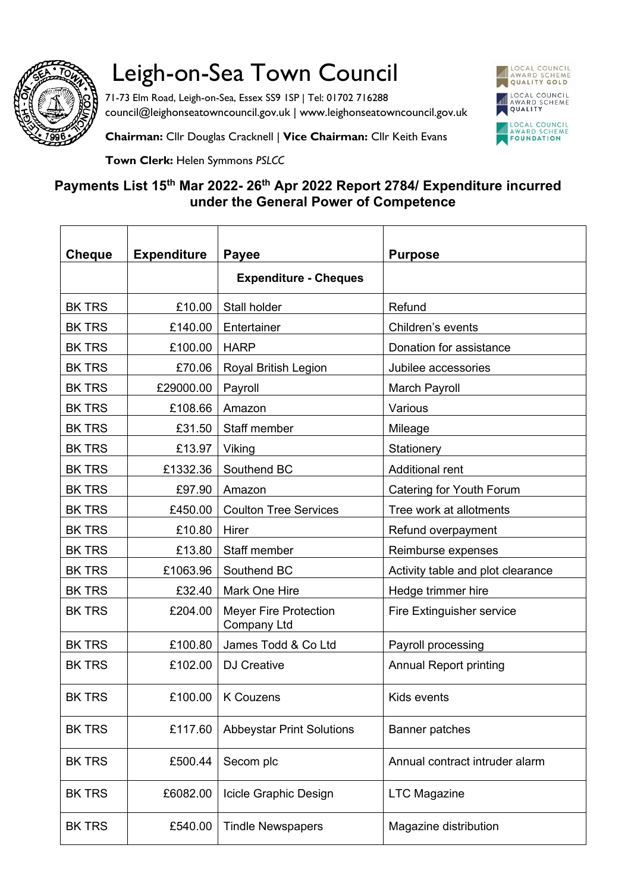

## Leigh-on-Sea Town Council

71-73 Elm Road, Leigh-on-Sea, Essex SS9 1SP | Tel: 01702 716288 council@leighonseatowncouncil.gov.uk | www.leighonseatowncouncil.gov.uk



**Chairman:** Cllr Douglas Cracknell | **Vice Chairman:** Cllr Keith Evans

**Town Clerk:** Helen Symmons *PSLCC*

## **Payments List 15th Mar 2022- 26th Apr 2022 Report 2784/ Expenditure incurred under the General Power of Competence**

| <b>Cheque</b> | <b>Expenditure</b> | <b>Payee</b>                                       | <b>Purpose</b>                    |
|---------------|--------------------|----------------------------------------------------|-----------------------------------|
|               |                    | <b>Expenditure - Cheques</b>                       |                                   |
| <b>BK TRS</b> | £10.00             | Stall holder                                       | Refund                            |
| <b>BK TRS</b> | £140.00            | Entertainer                                        | Children's events                 |
| <b>BK TRS</b> | £100.00            | <b>HARP</b>                                        | Donation for assistance           |
| <b>BK TRS</b> | £70.06             | Royal British Legion                               | Jubilee accessories               |
| <b>BK TRS</b> | £29000.00          | Payroll                                            | March Payroll                     |
| <b>BK TRS</b> | £108.66            | Amazon                                             | Various                           |
| <b>BK TRS</b> | £31.50             | Staff member                                       | Mileage                           |
| <b>BK TRS</b> | £13.97             | Viking                                             | Stationery                        |
| <b>BK TRS</b> | £1332.36           | Southend BC                                        | <b>Additional rent</b>            |
| <b>BK TRS</b> | £97.90             | Amazon                                             | Catering for Youth Forum          |
| <b>BK TRS</b> | £450.00            | <b>Coulton Tree Services</b>                       | Tree work at allotments           |
| <b>BK TRS</b> | £10.80             | Hirer                                              | Refund overpayment                |
| <b>BK TRS</b> | £13.80             | Staff member                                       | Reimburse expenses                |
| <b>BK TRS</b> | £1063.96           | Southend BC                                        | Activity table and plot clearance |
| <b>BK TRS</b> | £32.40             | Mark One Hire                                      | Hedge trimmer hire                |
| <b>BK TRS</b> | £204.00            | <b>Meyer Fire Protection</b><br><b>Company Ltd</b> | Fire Extinguisher service         |
| <b>BK TRS</b> | £100.80            | James Todd & Co Ltd                                | Payroll processing                |
| <b>BK TRS</b> | £102.00            | <b>DJ Creative</b>                                 | <b>Annual Report printing</b>     |
| <b>BK TRS</b> |                    | £100.00   K Couzens                                | Kids events                       |
| <b>BK TRS</b> | £117.60            | <b>Abbeystar Print Solutions</b>                   | <b>Banner patches</b>             |
| <b>BK TRS</b> | £500.44            | Secom plc                                          | Annual contract intruder alarm    |
| <b>BK TRS</b> | £6082.00           | Icicle Graphic Design                              | <b>LTC Magazine</b>               |
| <b>BK TRS</b> | £540.00            | <b>Tindle Newspapers</b>                           | Magazine distribution             |